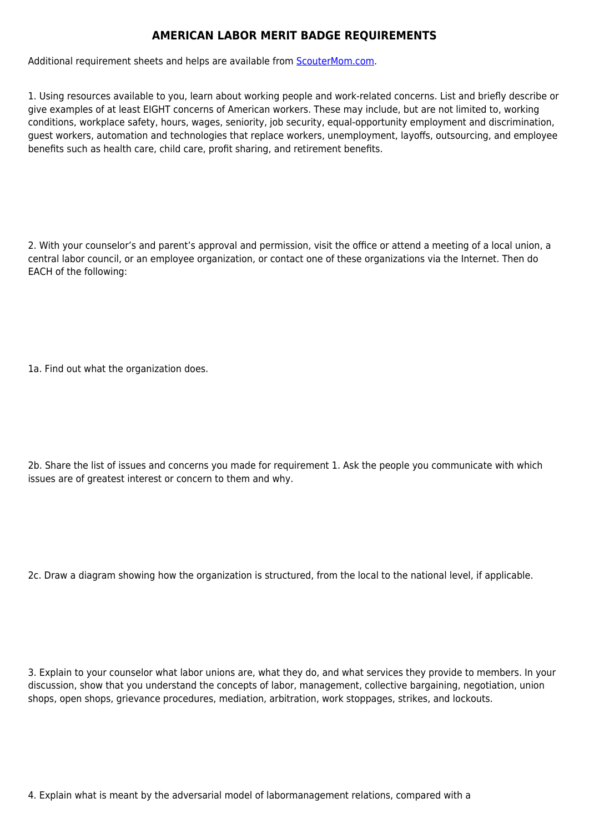## **AMERICAN LABOR MERIT BADGE REQUIREMENTS**

Additional requirement sheets and helps are available from [ScouterMom.com](http://scoutermom.com).

1. Using resources available to you, learn about working people and work-related concerns. List and briefly describe or give examples of at least EIGHT concerns of American workers. These may include, but are not limited to, working conditions, workplace safety, hours, wages, seniority, job security, equal-opportunity employment and discrimination, guest workers, automation and technologies that replace workers, unemployment, layoffs, outsourcing, and employee benefits such as health care, child care, profit sharing, and retirement benefits.

2. With your counselor's and parent's approval and permission, visit the office or attend a meeting of a local union, a central labor council, or an employee organization, or contact one of these organizations via the Internet. Then do EACH of the following:

1a. Find out what the organization does.

2b. Share the list of issues and concerns you made for requirement 1. Ask the people you communicate with which issues are of greatest interest or concern to them and why.

2c. Draw a diagram showing how the organization is structured, from the local to the national level, if applicable.

3. Explain to your counselor what labor unions are, what they do, and what services they provide to members. In your discussion, show that you understand the concepts of labor, management, collective bargaining, negotiation, union shops, open shops, grievance procedures, mediation, arbitration, work stoppages, strikes, and lockouts.